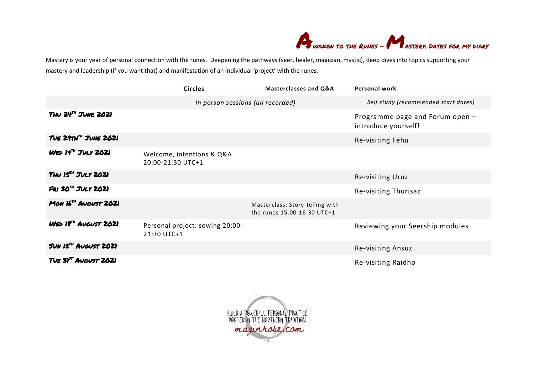

Mastery is your year of personal connection with the runes. Deepening the pathways (seer, healer, magician, mystic), deep dives into topics supporting your mastery and leadership (if you want that) and manifestation of an individual 'project' with the runes.

|                                  | <b>Circles</b>                                 | <b>Masterclasses and Q&amp;A</b>                               | <b>Personal work</b>                                   |
|----------------------------------|------------------------------------------------|----------------------------------------------------------------|--------------------------------------------------------|
|                                  | In person sessions (all recorded)              |                                                                | Self study (recommended start dates)                   |
| THU $24^m$ JUNE $2021$           |                                                |                                                                | Programme page and Forum open -<br>introduce yourself! |
| TUE 29TH <sup>TH</sup> JUNE 2021 |                                                |                                                                | Re-visiting Fehu                                       |
| $WED$ $N^M$ $JULY$ 2021          | Welcome, intentions & Q&A<br>20:00-21:30 UTC+1 |                                                                |                                                        |
| $T$ HV $15^{74}$ JULY 2021       |                                                |                                                                | Re-visiting Uruz                                       |
| $FRI$ 30 <sup>n</sup> JULY 2021  |                                                |                                                                | Re-visiting Thurisaz                                   |
| MON $16^m$ AUGUST 2021           |                                                | Masterclass: Story-telling with<br>the runes 15:00-16:30 UTC+1 |                                                        |
| WED 18 <sup>74</sup> AUGUST 2021 | Personal project: sowing 20:00-<br>21:30 UTC+1 |                                                                | Reviewing your Seership modules                        |
| SUN 15 <sup>74</sup> AUGUST 2021 |                                                |                                                                | Re-visiting Ansuz                                      |
| TUE 31 <sup>ST</sup> AUGUST 2021 |                                                |                                                                | Re-visiting Raidho                                     |

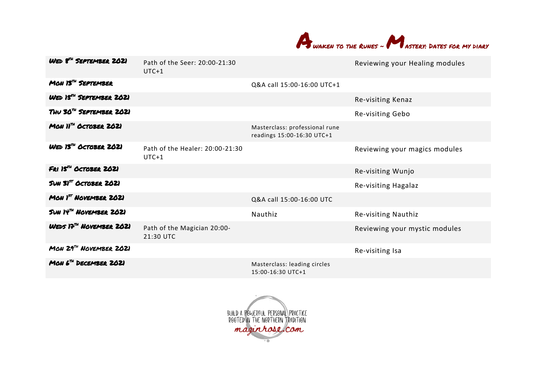

| WED 8 <sup>74</sup> SEPTEMBER 2021           | Path of the Seer: 20:00-21:30<br>$UTC+1$   |                                                              | Reviewing your Healing modules |
|----------------------------------------------|--------------------------------------------|--------------------------------------------------------------|--------------------------------|
| MON 13 <sup>74</sup> SEPTEMBER               |                                            | Q&A call 15:00-16:00 UTC+1                                   |                                |
| WED 15 <sup>74</sup> SEPTEMBER 2021          |                                            |                                                              | Re-visiting Kenaz              |
| THU 30 <sup>74</sup> SEPTEMBER 2021          |                                            |                                                              | Re-visiting Gebo               |
| MON $11^m$ OCTOBER 2021                      |                                            | Masterclass: professional rune<br>readings 15:00-16:30 UTC+1 |                                |
| $W \epsilon D$ 13 <sup>74</sup> OCTOBER 2021 | Path of the Healer: 20:00-21:30<br>$UTC+1$ |                                                              | Reviewing your magics modules  |
| FRI 15 <sup>74</sup> OCTOBER 2021            |                                            |                                                              | Re-visiting Wunjo              |
| SUN SI <sup>ST</sup> OCTOBER 2021            |                                            |                                                              | Re-visiting Hagalaz            |
| MON $I5T$ NOVEMBER 2021                      |                                            | Q&A call 15:00-16:00 UTC                                     |                                |
| SUN IT" NOVEMBER 2021                        |                                            | Nauthiz                                                      | Re-visiting Nauthiz            |
| WEDS 17 <sup>74</sup> NOVEMBER 2021          | Path of the Magician 20:00-<br>21:30 UTC   |                                                              | Reviewing your mystic modules  |
| MON $29^{71}$ NOVEMBER 2021                  |                                            |                                                              | Re-visiting Isa                |
| $MOM 67H$ DECEMBER 2021                      |                                            | Masterclass: leading circles<br>15:00-16:30 UTC+1            |                                |

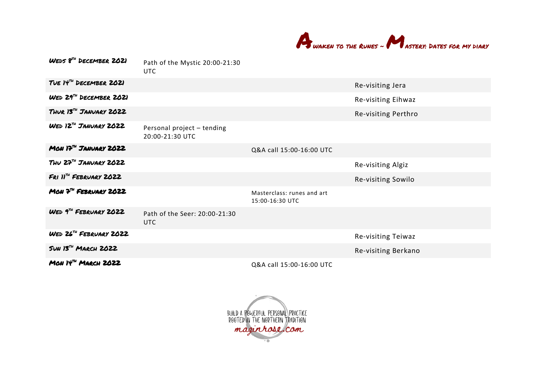

| WEDS 8TH DECEMBER 2021                 | Path of the Mystic 20:00-21:30<br><b>UTC</b>  |                                               |                     |
|----------------------------------------|-----------------------------------------------|-----------------------------------------------|---------------------|
| TUE $H^m$ DECEMBER 2021                |                                               |                                               | Re-visiting Jera    |
| WED 29 <sup>74</sup> DECEMBER 2021     |                                               |                                               | Re-visiting Eihwaz  |
| THUR 13 <sup>74</sup> JANUARY 2022     |                                               |                                               | Re-visiting Perthro |
| WED 12 <sup>74</sup> JANUARY 2022      | Personal project - tending<br>20:00-21:30 UTC |                                               |                     |
| MON $17m$ JANVARY 2022                 |                                               | Q&A call 15:00-16:00 UTC                      |                     |
| THU $27^m$ JANUARY 2022                |                                               |                                               | Re-visiting Algiz   |
| $FRI$ $I^m$ FEBRUARY 2022              |                                               |                                               | Re-visiting Sowilo  |
| $M\omega V$ <sup>2</sup> FEBRUARY 2022 |                                               | Masterclass: runes and art<br>15:00-16:30 UTC |                     |
| WED $9^{7H}$ FEBRUARY 2022             | Path of the Seer: 20:00-21:30<br><b>UTC</b>   |                                               |                     |
| <b>WED 26TH FEBRUARY 2022</b>          |                                               |                                               | Re-visiting Teiwaz  |
| SUN 13TH MARCH 2022                    |                                               |                                               | Re-visiting Berkano |
| MON $H^m$ MARCH 2022                   |                                               | Q&A call 15:00-16:00 UTC                      |                     |